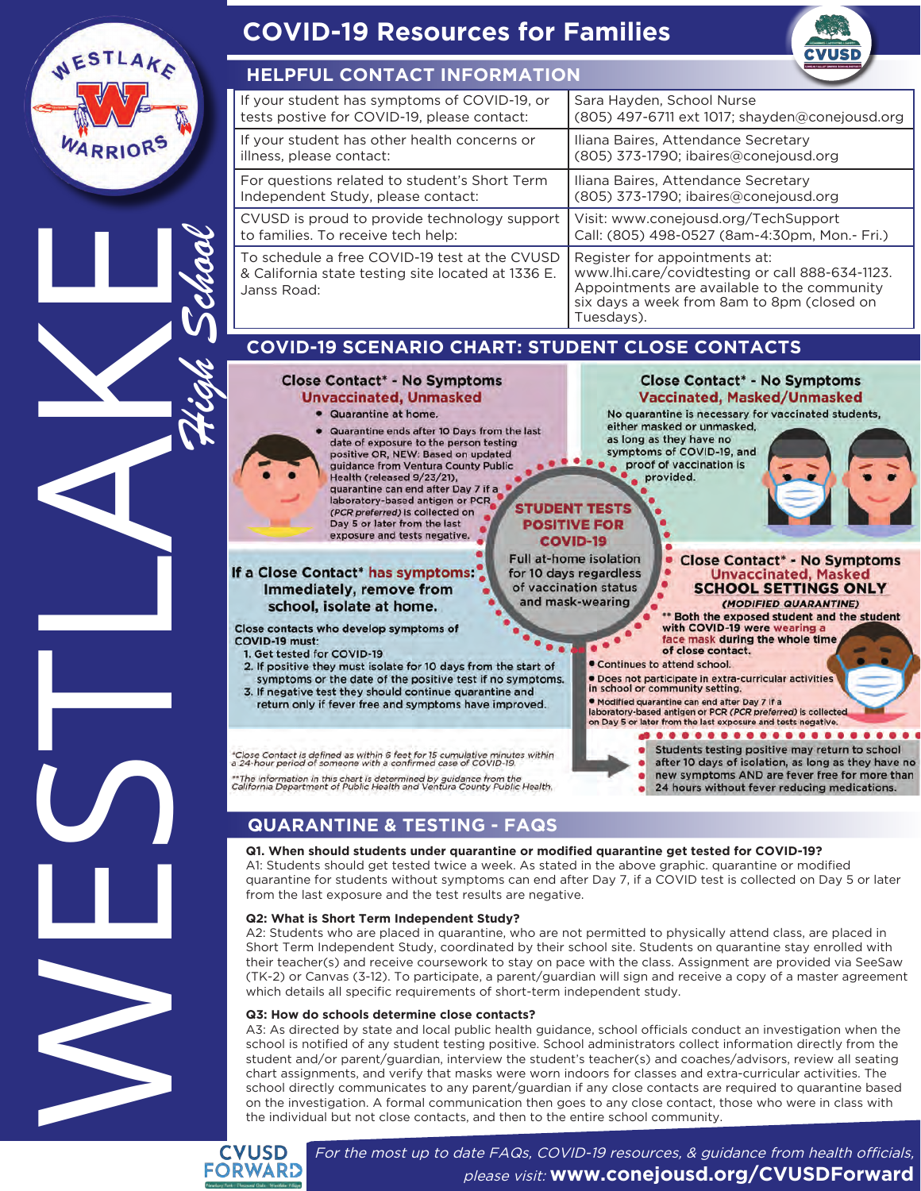

**FORWARD** 

For the most up to date FAQs, COVID-19 resources, & guidance from health officials, please visit: **www.conejousd.org/CVUSDForward**